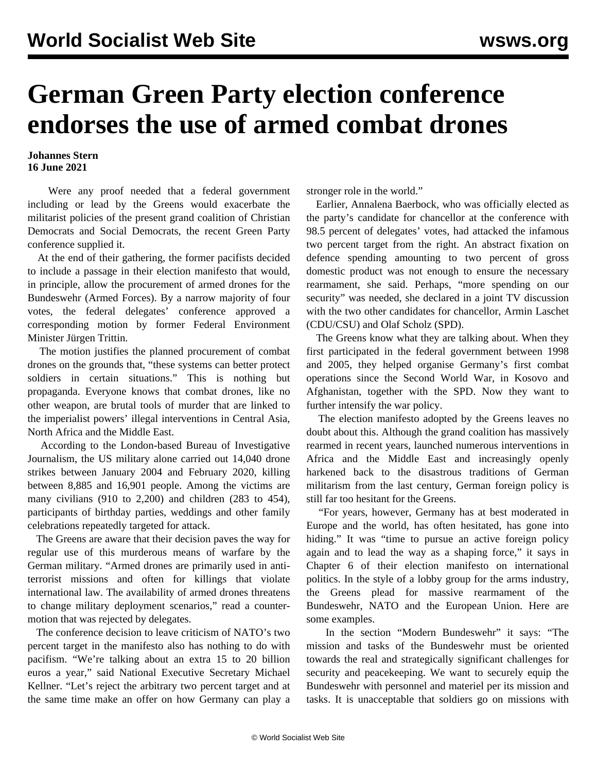## **German Green Party election conference endorses the use of armed combat drones**

## **Johannes Stern 16 June 2021**

 Were any proof needed that a federal government including or lead by the Greens would exacerbate the militarist policies of the present grand coalition of Christian Democrats and Social Democrats, the recent Green Party conference supplied it.

 At the end of their gathering, the former pacifists decided to include a passage in their election manifesto that would, in principle, allow the procurement of armed drones for the Bundeswehr (Armed Forces). By a narrow majority of four votes, the federal delegates' conference approved a corresponding motion by former Federal Environment Minister Jürgen Trittin.

 The motion justifies the planned procurement of combat drones on the grounds that, "these systems can better protect soldiers in certain situations." This is nothing but propaganda. Everyone knows that combat drones, like no other weapon, are brutal tools of murder that are linked to the imperialist powers' illegal interventions in Central Asia, North Africa and the Middle East.

 According to the London-based Bureau of Investigative Journalism, the US military alone carried out 14,040 drone strikes between January 2004 and February 2020, killing between 8,885 and 16,901 people. Among the victims are many civilians (910 to 2,200) and children (283 to 454), participants of birthday parties, weddings and other family celebrations repeatedly targeted for attack.

 The Greens are aware that their decision paves the way for regular use of this murderous means of warfare by the German military. "Armed drones are primarily used in antiterrorist missions and often for killings that violate international law. The availability of armed drones threatens to change military deployment scenarios," read a countermotion that was rejected by delegates.

 The conference decision to leave criticism of NATO's two percent target in the manifesto also has nothing to do with pacifism. "We're talking about an extra 15 to 20 billion euros a year," said National Executive Secretary Michael Kellner. "Let's reject the arbitrary two percent target and at the same time make an offer on how Germany can play a stronger role in the world."

 Earlier, Annalena Baerbock, who was officially elected as the party's candidate for chancellor at the conference with 98.5 percent of delegates' votes, had attacked the infamous two percent target from the [right](/en/articles/2021/05/24/chan-m24.html). An abstract fixation on defence spending amounting to two percent of gross domestic product was not enough to ensure the necessary rearmament, she said. Perhaps, "more spending on our security" was needed, she declared in a joint TV discussion with the two other candidates for chancellor, Armin Laschet (CDU/CSU) and Olaf Scholz (SPD).

 The Greens know what they are talking about. When they first participated in the federal government between 1998 and 2005, they helped organise Germany's first combat operations since the Second World War, in Kosovo and Afghanistan, together with the SPD. Now they want to further intensify the war policy.

 The election [manifesto](/en/articles/2021/03/25/gegr-m25.html) adopted by the Greens leaves no doubt about this. Although the grand coalition has massively rearmed in recent years, launched numerous interventions in Africa and the Middle East and increasingly openly harkened back to the disastrous traditions of German militarism from the last century, German foreign policy is still far too hesitant for the Greens.

 "For years, however, Germany has at best moderated in Europe and the world, has often hesitated, has gone into hiding." It was "time to pursue an active foreign policy again and to lead the way as a shaping force," it says in Chapter 6 of their election manifesto on international politics. In the style of a lobby group for the arms industry, the Greens plead for massive rearmament of the Bundeswehr, NATO and the European Union. Here are some examples.

 In the section "Modern Bundeswehr" it says: "The mission and tasks of the Bundeswehr must be oriented towards the real and strategically significant challenges for security and peacekeeping. We want to securely equip the Bundeswehr with personnel and materiel per its mission and tasks. It is unacceptable that soldiers go on missions with